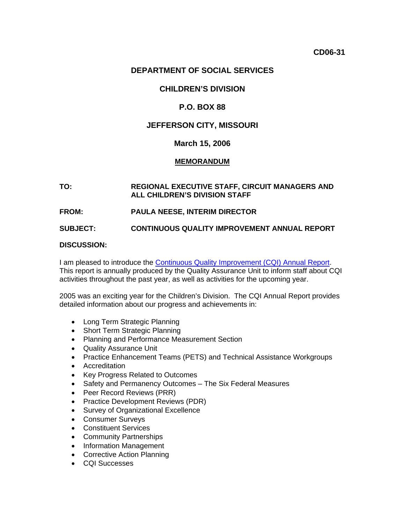# **DEPARTMENT OF SOCIAL SERVICES**

# **CHILDREN'S DIVISION**

## **P.O. BOX 88**

## **JEFFERSON CITY, MISSOURI**

### **March 15, 2006**

### **MEMORANDUM**

### **TO: REGIONAL EXECUTIVE STAFF, CIRCUIT MANAGERS AND ALL CHILDREN'S DIVISION STAFF**

#### **FROM: PAULA NEESE, INTERIM DIRECTOR**

**SUBJECT: CONTINUOUS QUALITY IMPROVEMENT ANNUAL REPORT**

#### **DISCUSSION:**

I am pleased to introduce the [Continuous Quality Improvement \(CQI\) Annual Report](http://dssweb/cs/CQI/annual_report/cqi_annual_report.pdf). This report is annually produced by the Quality Assurance Unit to inform staff about CQI activities throughout the past year, as well as activities for the upcoming year.

2005 was an exciting year for the Children's Division. The CQI Annual Report provides detailed information about our progress and achievements in:

- Long Term Strategic Planning
- Short Term Strategic Planning
- Planning and Performance Measurement Section
- Quality Assurance Unit
- Practice Enhancement Teams (PETS) and Technical Assistance Workgroups
- Accreditation
- Key Progress Related to Outcomes
- Safety and Permanency Outcomes The Six Federal Measures
- Peer Record Reviews (PRR)
- Practice Development Reviews (PDR)
- Survey of Organizational Excellence
- Consumer Surveys
- Constituent Services
- Community Partnerships
- Information Management
- Corrective Action Planning
- CQI Successes